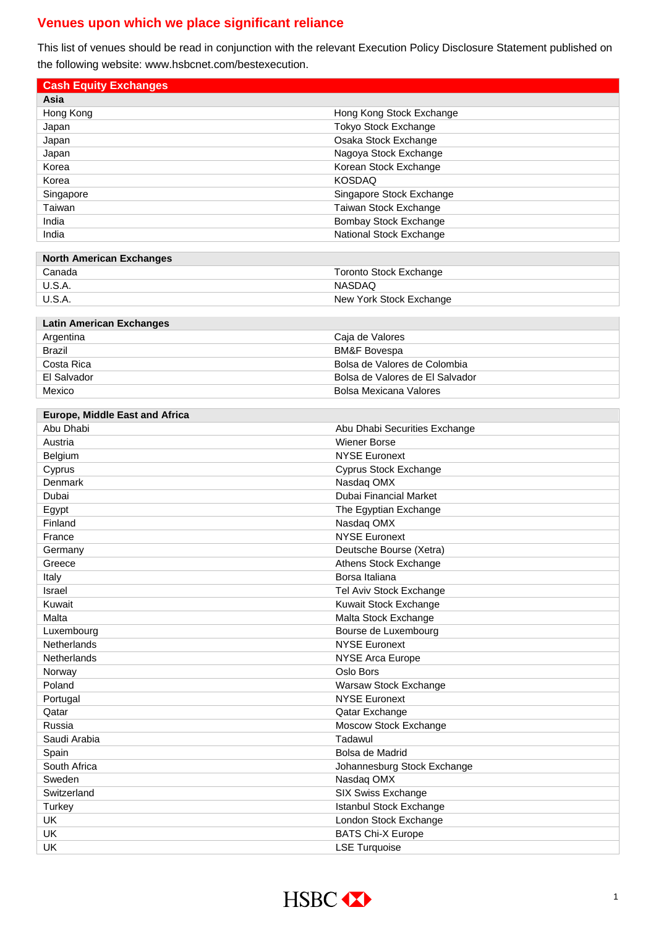## **Venues upon which we place significant reliance**

This list of venues should be read in conjunction with the relevant Execution Policy Disclosure Statement published on the following website: www.hsbcnet.com/bestexecution.

| <b>Cash Equity Exchanges</b>          |                                 |
|---------------------------------------|---------------------------------|
| Asia                                  |                                 |
| Hong Kong                             | Hong Kong Stock Exchange        |
| Japan                                 | Tokyo Stock Exchange            |
| Japan                                 | Osaka Stock Exchange            |
| Japan                                 | Nagoya Stock Exchange           |
| Korea                                 | Korean Stock Exchange           |
| Korea                                 | <b>KOSDAQ</b>                   |
| Singapore                             | Singapore Stock Exchange        |
| Taiwan                                | Taiwan Stock Exchange           |
| India                                 | <b>Bombay Stock Exchange</b>    |
| India                                 | National Stock Exchange         |
|                                       |                                 |
| <b>North American Exchanges</b>       |                                 |
| Canada                                | <b>Toronto Stock Exchange</b>   |
| <b>U.S.A.</b>                         | <b>NASDAQ</b>                   |
| <b>U.S.A.</b>                         | New York Stock Exchange         |
|                                       |                                 |
| <b>Latin American Exchanges</b>       |                                 |
| Argentina                             | Caja de Valores                 |
| <b>Brazil</b>                         | <b>BM&amp;F Bovespa</b>         |
| Costa Rica                            | Bolsa de Valores de Colombia    |
| El Salvador                           | Bolsa de Valores de El Salvador |
| Mexico                                | <b>Bolsa Mexicana Valores</b>   |
|                                       |                                 |
| <b>Europe, Middle East and Africa</b> |                                 |
| Abu Dhabi                             | Abu Dhabi Securities Exchange   |
| Austria                               | <b>Wiener Borse</b>             |
| Belgium                               | <b>NYSE Euronext</b>            |
| Cyprus                                | Cyprus Stock Exchange           |
| Denmark                               | Nasdaq OMX                      |
| Dubai                                 | Dubai Financial Market          |
| Egypt                                 | The Egyptian Exchange           |
| Finland                               | Nasdaq OMX                      |
| France                                | <b>NYSE Euronext</b>            |
| Germany                               | Deutsche Bourse (Xetra)         |
| Greece                                | Athens Stock Exchange           |
| Italy                                 | Borsa Italiana                  |
| Israel                                | Tel Aviv Stock Exchange         |
| Kuwait                                | Kuwait Stock Exchange           |
| Malta                                 | Malta Stock Exchange            |
| Luxembourg                            | Bourse de Luxembourg            |
| Netherlands                           | <b>NYSE Euronext</b>            |
| <b>Netherlands</b>                    | <b>NYSE Arca Europe</b>         |
| Norway                                | Oslo Bors                       |
| Poland                                | Warsaw Stock Exchange           |
| Portugal                              | <b>NYSE Euronext</b>            |
| Qatar                                 | Qatar Exchange                  |
|                                       |                                 |
| Russia                                | Moscow Stock Exchange           |
| Saudi Arabia                          | Tadawul                         |
| Spain                                 | Bolsa de Madrid                 |
| South Africa                          | Johannesburg Stock Exchange     |
| Sweden                                | Nasdaq OMX                      |
| Switzerland                           | SIX Swiss Exchange              |
| Turkey                                | Istanbul Stock Exchange         |
| UK                                    | London Stock Exchange           |
| UK                                    | <b>BATS Chi-X Europe</b>        |
| UK                                    | <b>LSE Turquoise</b>            |